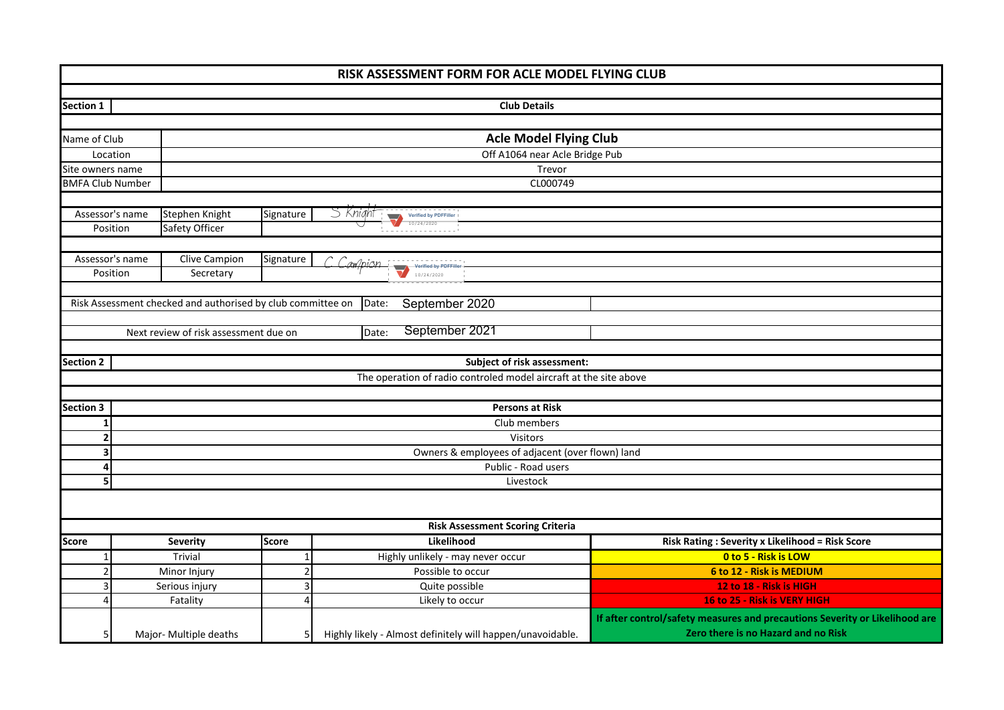| RISK ASSESSMENT FORM FOR ACLE MODEL FLYING CLUB |                                               |                                                             |                |          |                      |                       |                                                                   |  |                                                                             |  |  |  |  |
|-------------------------------------------------|-----------------------------------------------|-------------------------------------------------------------|----------------|----------|----------------------|-----------------------|-------------------------------------------------------------------|--|-----------------------------------------------------------------------------|--|--|--|--|
|                                                 |                                               |                                                             |                |          |                      |                       |                                                                   |  |                                                                             |  |  |  |  |
| <b>Section 1</b><br><b>Club Details</b>         |                                               |                                                             |                |          |                      |                       |                                                                   |  |                                                                             |  |  |  |  |
|                                                 |                                               |                                                             |                |          |                      |                       |                                                                   |  |                                                                             |  |  |  |  |
|                                                 | <b>Acle Model Flying Club</b><br>Name of Club |                                                             |                |          |                      |                       |                                                                   |  |                                                                             |  |  |  |  |
|                                                 | Off A1064 near Acle Bridge Pub<br>Location    |                                                             |                |          |                      |                       |                                                                   |  |                                                                             |  |  |  |  |
|                                                 | Trevor<br>Site owners name                    |                                                             |                |          |                      |                       |                                                                   |  |                                                                             |  |  |  |  |
|                                                 | <b>BMFA Club Number</b><br>CL000749           |                                                             |                |          |                      |                       |                                                                   |  |                                                                             |  |  |  |  |
|                                                 |                                               |                                                             |                |          |                      |                       |                                                                   |  |                                                                             |  |  |  |  |
| Assessor's name                                 |                                               | Stephen Knight                                              | Signature      | S Knight | $\sqrt{2}$           | Verified by PDFFiller |                                                                   |  |                                                                             |  |  |  |  |
| Position                                        |                                               | Safety Officer                                              |                |          |                      | 10/24/2020            |                                                                   |  |                                                                             |  |  |  |  |
|                                                 |                                               |                                                             |                |          |                      |                       |                                                                   |  |                                                                             |  |  |  |  |
| Assessor's name                                 |                                               | Clive Campion                                               | Signature      | Campion  |                      | Verified by PDFFil    |                                                                   |  |                                                                             |  |  |  |  |
| Position                                        |                                               | Secretary                                                   |                |          | $\blacktriangledown$ | 10/24/2020            |                                                                   |  |                                                                             |  |  |  |  |
|                                                 |                                               |                                                             |                |          |                      |                       |                                                                   |  |                                                                             |  |  |  |  |
|                                                 |                                               | Risk Assessment checked and authorised by club committee on |                | Date:    |                      | September 2020        |                                                                   |  |                                                                             |  |  |  |  |
|                                                 |                                               |                                                             |                |          |                      |                       |                                                                   |  |                                                                             |  |  |  |  |
|                                                 |                                               | Next review of risk assessment due on                       |                | Date:    |                      | September 2021        |                                                                   |  |                                                                             |  |  |  |  |
|                                                 |                                               |                                                             |                |          |                      |                       |                                                                   |  |                                                                             |  |  |  |  |
| <b>Section 2</b>                                |                                               |                                                             |                |          |                      |                       | Subject of risk assessment:                                       |  |                                                                             |  |  |  |  |
|                                                 |                                               |                                                             |                |          |                      |                       | The operation of radio controled model aircraft at the site above |  |                                                                             |  |  |  |  |
|                                                 |                                               |                                                             |                |          |                      |                       |                                                                   |  |                                                                             |  |  |  |  |
| <b>Section 3</b>                                |                                               |                                                             |                |          |                      |                       | <b>Persons at Risk</b>                                            |  |                                                                             |  |  |  |  |
| $\mathbf{1}$                                    |                                               |                                                             |                |          |                      |                       | Club members                                                      |  |                                                                             |  |  |  |  |
| $\overline{2}$                                  |                                               |                                                             |                |          |                      |                       | Visitors                                                          |  |                                                                             |  |  |  |  |
| 3                                               |                                               |                                                             |                |          |                      |                       | Owners & employees of adjacent (over flown) land                  |  |                                                                             |  |  |  |  |
| 4<br>5                                          |                                               |                                                             |                |          |                      |                       | Public - Road users<br>Livestock                                  |  |                                                                             |  |  |  |  |
|                                                 |                                               |                                                             |                |          |                      |                       |                                                                   |  |                                                                             |  |  |  |  |
|                                                 |                                               |                                                             |                |          |                      |                       |                                                                   |  |                                                                             |  |  |  |  |
|                                                 |                                               |                                                             |                |          |                      |                       | <b>Risk Assessment Scoring Criteria</b>                           |  |                                                                             |  |  |  |  |
| <b>Score</b>                                    |                                               | <b>Severity</b>                                             | <b>Score</b>   |          |                      | Likelihood            |                                                                   |  | <b>Risk Rating: Severity x Likelihood = Risk Score</b>                      |  |  |  |  |
| $\mathbf{1}$                                    |                                               | Trivial                                                     | 1              |          |                      |                       | Highly unlikely - may never occur                                 |  | 0 to 5 - Risk is LOW                                                        |  |  |  |  |
| $\overline{2}$                                  |                                               | Minor Injury                                                | $\overline{2}$ |          |                      | Possible to occur     |                                                                   |  | 6 to 12 - Risk is MEDIUM                                                    |  |  |  |  |
| 3                                               |                                               | Serious injury                                              | 3              |          |                      | Quite possible        |                                                                   |  | 12 to 18 - Risk is HIGH                                                     |  |  |  |  |
| $\overline{4}$                                  |                                               | Fatality                                                    | 4              |          |                      | Likely to occur       |                                                                   |  | 16 to 25 - Risk is VERY HIGH                                                |  |  |  |  |
|                                                 |                                               |                                                             |                |          |                      |                       |                                                                   |  | If after control/safety measures and precautions Severity or Likelihood are |  |  |  |  |
| 5                                               |                                               | Major- Multiple deaths                                      | 5              |          |                      |                       | Highly likely - Almost definitely will happen/unavoidable.        |  | Zero there is no Hazard and no Risk                                         |  |  |  |  |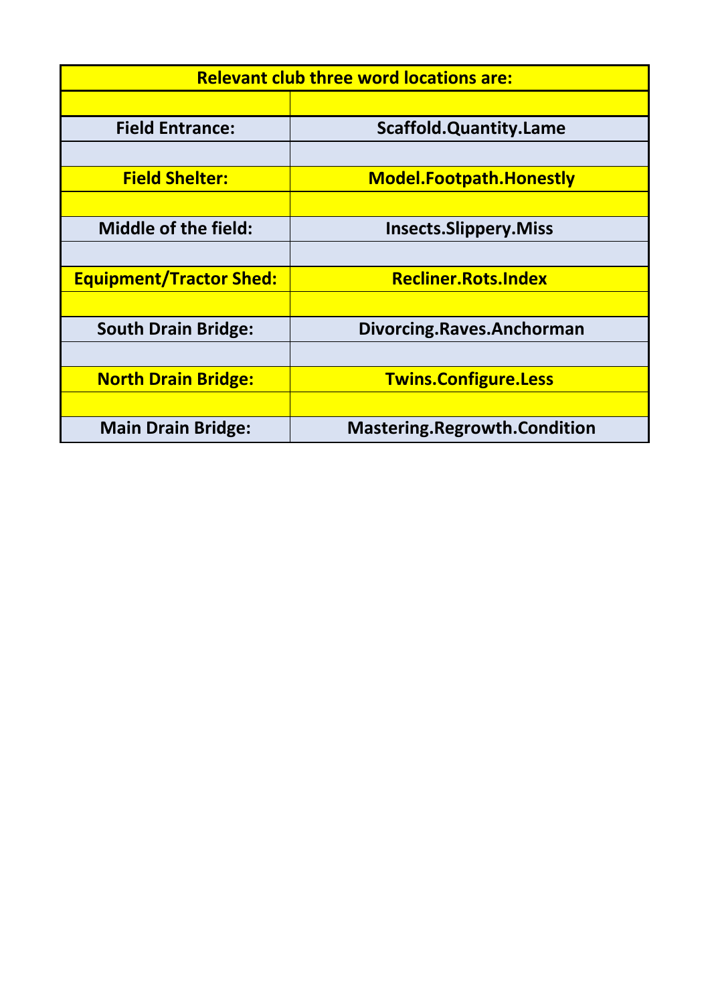| <b>Relevant club three word locations are:</b> |                                     |  |  |  |  |  |  |  |  |
|------------------------------------------------|-------------------------------------|--|--|--|--|--|--|--|--|
|                                                |                                     |  |  |  |  |  |  |  |  |
| <b>Field Entrance:</b>                         | <b>Scaffold.Quantity.Lame</b>       |  |  |  |  |  |  |  |  |
|                                                |                                     |  |  |  |  |  |  |  |  |
| <b>Field Shelter:</b>                          | <b>Model.Footpath.Honestly</b>      |  |  |  |  |  |  |  |  |
|                                                |                                     |  |  |  |  |  |  |  |  |
| <b>Middle of the field:</b>                    | <b>Insects.Slippery.Miss</b>        |  |  |  |  |  |  |  |  |
|                                                |                                     |  |  |  |  |  |  |  |  |
| <b>Equipment/Tractor Shed:</b>                 | <b>Recliner.Rots.Index</b>          |  |  |  |  |  |  |  |  |
|                                                |                                     |  |  |  |  |  |  |  |  |
| <b>South Drain Bridge:</b>                     | Divorcing.Raves.Anchorman           |  |  |  |  |  |  |  |  |
|                                                |                                     |  |  |  |  |  |  |  |  |
| <b>North Drain Bridge:</b>                     | <b>Twins.Configure.Less</b>         |  |  |  |  |  |  |  |  |
|                                                |                                     |  |  |  |  |  |  |  |  |
| <b>Main Drain Bridge:</b>                      | <b>Mastering.Regrowth.Condition</b> |  |  |  |  |  |  |  |  |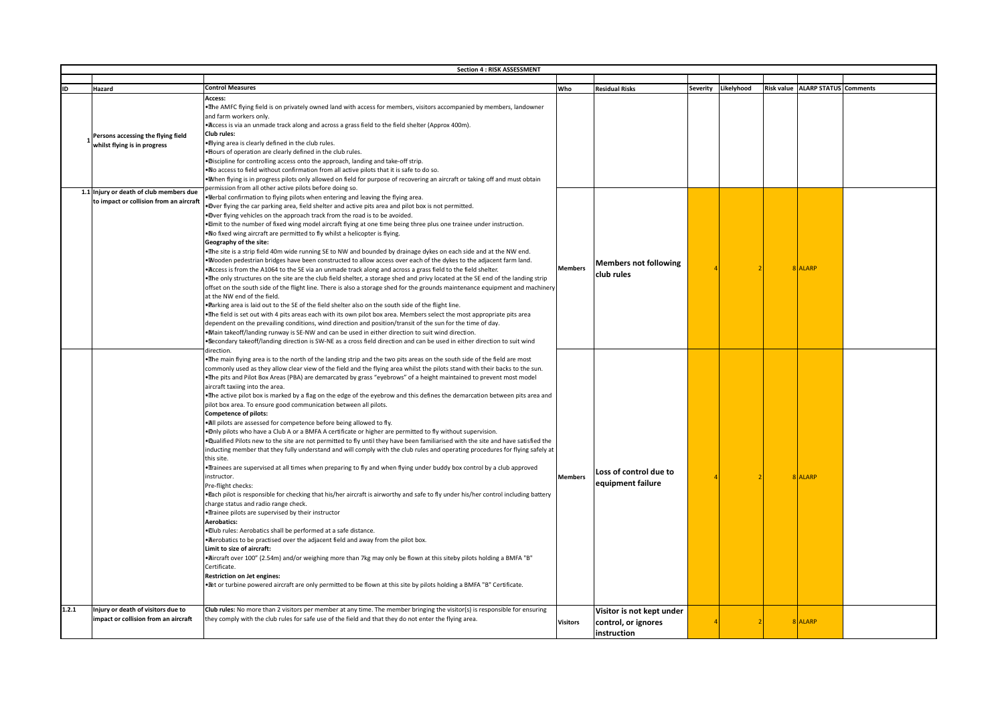|       | <b>Section 4: RISK ASSESSMENT</b>                                                  |                                                                                                                                                                                                                                                                                                                                                                                                                                                                                                                                                                                                                                                                                                                                                                                                                                                                                                                                                                                                                                                                                                                                                                                                                                                                                                                                                                                                                                                                                                                                                                                                                                                                                                                                                                                                                                                                                                                                                                                                                                                                        |                 |                                                                 |          |            |  |                                  |  |  |
|-------|------------------------------------------------------------------------------------|------------------------------------------------------------------------------------------------------------------------------------------------------------------------------------------------------------------------------------------------------------------------------------------------------------------------------------------------------------------------------------------------------------------------------------------------------------------------------------------------------------------------------------------------------------------------------------------------------------------------------------------------------------------------------------------------------------------------------------------------------------------------------------------------------------------------------------------------------------------------------------------------------------------------------------------------------------------------------------------------------------------------------------------------------------------------------------------------------------------------------------------------------------------------------------------------------------------------------------------------------------------------------------------------------------------------------------------------------------------------------------------------------------------------------------------------------------------------------------------------------------------------------------------------------------------------------------------------------------------------------------------------------------------------------------------------------------------------------------------------------------------------------------------------------------------------------------------------------------------------------------------------------------------------------------------------------------------------------------------------------------------------------------------------------------------------|-----------------|-----------------------------------------------------------------|----------|------------|--|----------------------------------|--|--|
|       |                                                                                    |                                                                                                                                                                                                                                                                                                                                                                                                                                                                                                                                                                                                                                                                                                                                                                                                                                                                                                                                                                                                                                                                                                                                                                                                                                                                                                                                                                                                                                                                                                                                                                                                                                                                                                                                                                                                                                                                                                                                                                                                                                                                        |                 |                                                                 |          |            |  |                                  |  |  |
| ID    | Hazard                                                                             | <b>Control Measures</b>                                                                                                                                                                                                                                                                                                                                                                                                                                                                                                                                                                                                                                                                                                                                                                                                                                                                                                                                                                                                                                                                                                                                                                                                                                                                                                                                                                                                                                                                                                                                                                                                                                                                                                                                                                                                                                                                                                                                                                                                                                                | Who             | <b>Residual Risks</b>                                           | Severity | Likelyhood |  | Risk value ALARP STATUS Comments |  |  |
|       | Persons accessing the flying field<br>whilst flying is in progress                 | Access:<br>. The AMFC flying field is on privately owned land with access for members, visitors accompanied by members, landowner<br>and farm workers only.<br>• Access is via an unmade track along and across a grass field to the field shelter (Approx 400m).<br>Club rules:<br>. Ilying area is clearly defined in the club rules.<br>. Bours of operation are clearly defined in the club rules.<br>. Discipline for controlling access onto the approach, landing and take-off strip.<br>. No access to field without confirmation from all active pilots that it is safe to do so.<br>. Mhen flying is in progress pilots only allowed on field for purpose of recovering an aircraft or taking off and must obtain                                                                                                                                                                                                                                                                                                                                                                                                                                                                                                                                                                                                                                                                                                                                                                                                                                                                                                                                                                                                                                                                                                                                                                                                                                                                                                                                            |                 |                                                                 |          |            |  |                                  |  |  |
|       | 1.1 Injury or death of club members due<br>to impact or collision from an aircraft | permission from all other active pilots before doing so.<br>. Merbal confirmation to flying pilots when entering and leaving the flying area.<br>.Dver flying the car parking area, field shelter and active pits area and pilot box is not permitted.<br>.Dver flying vehicles on the approach track from the road is to be avoided.<br>. Emit to the number of fixed wing model aircraft flying at one time being three plus one trainee under instruction.<br>. No fixed wing aircraft are permitted to fly whilst a helicopter is flying.<br>Geography of the site:<br>. The site is a strip field 40m wide running SE to NW and bounded by drainage dykes on each side and at the NW end.<br>. Wooden pedestrian bridges have been constructed to allow access over each of the dykes to the adjacent farm land.<br>. Access is from the A1064 to the SE via an unmade track along and across a grass field to the field shelter.<br>. The only structures on the site are the club field shelter, a storage shed and privy located at the SE end of the landing strip<br>offset on the south side of the flight line. There is also a storage shed for the grounds maintenance equipment and machinery<br>at the NW end of the field.<br>. Parking area is laid out to the SE of the field shelter also on the south side of the flight line.<br>. The field is set out with 4 pits areas each with its own pilot box area. Members select the most appropriate pits area<br>dependent on the prevailing conditions, wind direction and position/transit of the sun for the time of day.<br>. Main takeoff/landing runway is SE-NW and can be used in either direction to suit wind direction.<br>• Secondary takeoff/landing direction is SW-NE as a cross field direction and can be used in either direction to suit wind                                                                                                                                                                                                                                     | <b>Members</b>  | <b>Members not following</b><br>club rules                      |          |            |  | 8 ALARP                          |  |  |
|       |                                                                                    | direction<br>. The main flying area is to the north of the landing strip and the two pits areas on the south side of the field are most<br>commonly used as they allow clear view of the field and the flying area whilst the pilots stand with their backs to the sun.<br>•The pits and Pilot Box Areas (PBA) are demarcated by grass "eyebrows" of a height maintained to prevent most model<br>aircraft taxiing into the area.<br>. The active pilot box is marked by a flag on the edge of the eyebrow and this defines the demarcation between pits area and<br>pilot box area. To ensure good communication between all pilots.<br><b>Competence of pilots:</b><br>. All pilots are assessed for competence before being allowed to fly.<br>. Only pilots who have a Club A or a BMFA A certificate or higher are permitted to fly without supervision.<br>. Qualified Pilots new to the site are not permitted to fly until they have been familiarised with the site and have satisfied the<br>inducting member that they fully understand and will comply with the club rules and operating procedures for flying safely at<br>this site.<br>•Trainees are supervised at all times when preparing to fly and when flying under buddy box control by a club approved<br>instructor.<br>Pre-flight checks:<br>• Plach pilot is responsible for checking that his/her aircraft is airworthy and safe to fly under his/her control including battery<br>charge status and radio range check.<br>. Trainee pilots are supervised by their instructor<br><b>Aerobatics:</b><br>. Ilub rules: Aerobatics shall be performed at a safe distance.<br>· Aerobatics to be practised over the adjacent field and away from the pilot box.<br>Limit to size of aircraft:<br>• Aircraft over 100" (2.54m) and/or weighing more than 7kg may only be flown at this siteby pilots holding a BMFA "B"<br>Certificate.<br>Restriction on Jet engines:<br>. Et or turbine powered aircraft are only permitted to be flown at this site by pilots holding a BMFA "B" Certificate. | Members         | Loss of control due to<br>equipment failure                     |          |            |  | 8 ALARP                          |  |  |
| 1.2.1 | Injury or death of visitors due to<br>impact or collision from an aircraft         | Club rules: No more than 2 visitors per member at any time. The member bringing the visitor(s) is responsible for ensuring<br>they comply with the club rules for safe use of the field and that they do not enter the flying area.                                                                                                                                                                                                                                                                                                                                                                                                                                                                                                                                                                                                                                                                                                                                                                                                                                                                                                                                                                                                                                                                                                                                                                                                                                                                                                                                                                                                                                                                                                                                                                                                                                                                                                                                                                                                                                    | <b>Visitors</b> | Visitor is not kept under<br>control, or ignores<br>instruction |          |            |  | 8 ALARP                          |  |  |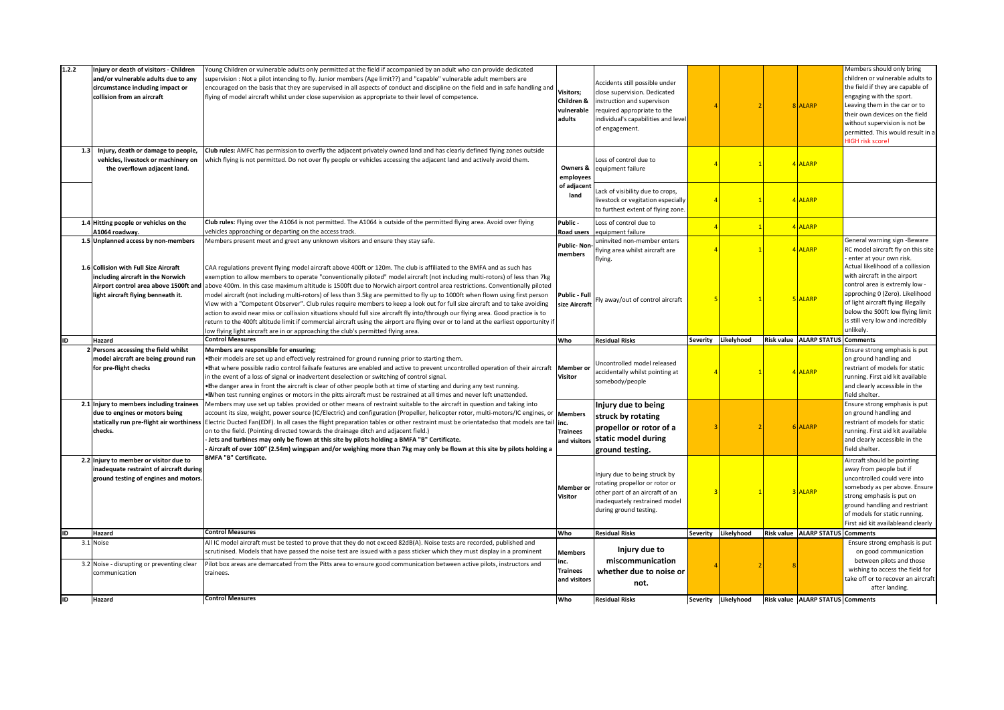| 1.2.2 | Injury or death of visitors - Children<br>and/or vulnerable adults due to any<br>circumstance including impact or<br>collision from an aircraft | Young Children or vulnerable adults only permitted at the field if accompanied by an adult who can provide dedicated<br>supervision : Not a pilot intending to fly. Junior members (Age limit??) and "capable" vulnerable adult members are<br>encouraged on the basis that they are supervised in all aspects of conduct and discipline on the field and in safe handling and<br>flying of model aircraft whilst under close supervision as appropriate to their level of competence.                                                                                                                                                                                                                                                                                                                                                                                                                                                                                                                                                                         | <b>Visitors;</b><br>Children &<br>vulnerable<br>adults           | Accidents still possible under<br>close supervision. Dedicated<br>instruction and supervison<br>required appropriate to the<br>individual's capabilities and level<br>of engagement. |          |                     | 8 ALARP                          | Members should only bring<br>children or vulnerable adults to<br>the field if they are capable of<br>engaging with the sport.<br>Leaving them in the car or to<br>their own devices on the field<br>without supervision is not be<br>permitted. This would result in a<br><b>HIGH risk score!</b> |
|-------|-------------------------------------------------------------------------------------------------------------------------------------------------|----------------------------------------------------------------------------------------------------------------------------------------------------------------------------------------------------------------------------------------------------------------------------------------------------------------------------------------------------------------------------------------------------------------------------------------------------------------------------------------------------------------------------------------------------------------------------------------------------------------------------------------------------------------------------------------------------------------------------------------------------------------------------------------------------------------------------------------------------------------------------------------------------------------------------------------------------------------------------------------------------------------------------------------------------------------|------------------------------------------------------------------|--------------------------------------------------------------------------------------------------------------------------------------------------------------------------------------|----------|---------------------|----------------------------------|---------------------------------------------------------------------------------------------------------------------------------------------------------------------------------------------------------------------------------------------------------------------------------------------------|
| 1.3   | Injury, death or damage to people,<br>vehicles, livestock or machinery on<br>the overflown adjacent land.                                       | Club rules: AMFC has permission to overfly the adjacent privately owned land and has clearly defined flying zones outside<br>which flying is not permitted. Do not over fly people or vehicles accessing the adjacent land and actively avoid them.                                                                                                                                                                                                                                                                                                                                                                                                                                                                                                                                                                                                                                                                                                                                                                                                            | Owners &<br>employees                                            | Loss of control due to<br>equipment failure                                                                                                                                          |          |                     | 4 ALARP                          |                                                                                                                                                                                                                                                                                                   |
|       |                                                                                                                                                 |                                                                                                                                                                                                                                                                                                                                                                                                                                                                                                                                                                                                                                                                                                                                                                                                                                                                                                                                                                                                                                                                | of adjacent<br>land                                              | Lack of visibility due to crops,<br>livestock or vegitation especially<br>to furthest extent of flying zone.                                                                         |          |                     | 4 ALARP                          |                                                                                                                                                                                                                                                                                                   |
|       | 1.4 Hitting people or vehicles on the<br>1064 roadway.                                                                                          | Club rules: Flying over the A1064 is not permitted. The A1064 is outside of the permitted flying area. Avoid over flying<br>vehicles approaching or departing on the access track.                                                                                                                                                                                                                                                                                                                                                                                                                                                                                                                                                                                                                                                                                                                                                                                                                                                                             | Public -<br>Road users                                           | Loss of control due to<br>equipment failure                                                                                                                                          |          |                     | 4 ALARP                          |                                                                                                                                                                                                                                                                                                   |
|       | 1.5 Unplanned access by non-members                                                                                                             | Members present meet and greet any unknown visitors and ensure they stay safe.                                                                                                                                                                                                                                                                                                                                                                                                                                                                                                                                                                                                                                                                                                                                                                                                                                                                                                                                                                                 | <b>Public-Non</b><br>members                                     | uninvited non-member enters<br>flying area whilst aircraft are<br>flying.                                                                                                            |          |                     | 4 ALARP                          | General warning sign -Beware<br>RC model aircraft fly on this site<br>enter at your own risk.                                                                                                                                                                                                     |
|       | 1.6 Collision with Full Size Aircraft<br>including aircraft in the Norwich<br>light aircraft flying benneath it.                                | CAA regulations prevent flying model aircraft above 400ft or 120m. The club is affiliated to the BMFA and as such has<br>exemption to allow members to operate "conventionally piloted" model aircraft (not including multi-rotors) of less than 7kg<br>Airport control area above 1500ft and above 400m. In this case maximum altitude is 1500ft due to Norwich airport control area restrictions. Conventionally piloted<br>model aircraft (not including multi-rotors) of less than 3.5kg are permitted to fly up to 1000ft when flown using first person<br>View with a "Competent Observer". Club rules require members to keep a look out for full size aircraft and to take avoiding<br>action to avoid near miss or collission situations should full size aircraft fly into/through our flying area. Good practice is to<br>return to the 400ft altitude limit if commercial aircraft using the airport are flying over or to land at the earliest opportunity if<br>ow flying light aircraft are in or approaching the club's permitted flying area. | Public - Full<br>size Aircraft                                   | ly away/out of control aircraft                                                                                                                                                      |          |                     | 5 ALARP                          | Actual likelihood of a collission<br>with aircraft in the airport<br>control area is extremly low -<br>approching 0 (Zero). Likelihood<br>of light aircraft flying illegally<br>below the 500ft low flying limit<br>is still very low and incredibly<br>unlikely.                                 |
| ID    |                                                                                                                                                 | <b>Control Measures</b>                                                                                                                                                                                                                                                                                                                                                                                                                                                                                                                                                                                                                                                                                                                                                                                                                                                                                                                                                                                                                                        |                                                                  |                                                                                                                                                                                      |          |                     |                                  |                                                                                                                                                                                                                                                                                                   |
|       | Hazard                                                                                                                                          |                                                                                                                                                                                                                                                                                                                                                                                                                                                                                                                                                                                                                                                                                                                                                                                                                                                                                                                                                                                                                                                                | Who                                                              | <b>Residual Risks</b>                                                                                                                                                                | Severity | Likelyhood          | Risk value ALARP STATUS Comments |                                                                                                                                                                                                                                                                                                   |
|       | 2 Persons accessing the field whilst<br>model aircraft are being ground run<br>for pre-flight checks                                            | Members are responsible for ensuring;<br>• Their models are set up and effectively restrained for ground running prior to starting them.<br>. That where possible radio control failsafe features are enabled and active to prevent uncontrolled operation of their aircraft Member or<br>in the event of a loss of signal or inadvertent deselection or switching of control signal.<br>•The danger area in front the aircraft is clear of other people both at time of starting and during any test running.                                                                                                                                                                                                                                                                                                                                                                                                                                                                                                                                                 | <b>Visitor</b>                                                   | Uncontrolled model released<br>accidentally whilst pointing at<br>somebody/people                                                                                                    |          |                     | 4 ALARP                          | Ensure strong emphasis is put<br>on ground handling and<br>restriant of models for static<br>running. First aid kit available<br>and clearly accessible in the                                                                                                                                    |
|       | 2.1 Injury to members including trainees<br>due to engines or motors being<br>statically run pre-flight air worthiness<br>checks.               | . Myhen test running engines or motors in the pitts aircraft must be restrained at all times and never left unattended.<br>Members may use set up tables provided or other means of restraint suitable to the aircraft in question and taking into<br>account its size, weight, power source (IC/Electric) and configuration (Propeller, helicopter rotor, multi-motors/IC engines, or<br>Electric Ducted Fan(EDF). In all cases the flight preparation tables or other restraint must be orientatedso that models are tail<br>on to the field. (Pointing directed towards the drainage ditch and adjacent field.)<br>Jets and turbines may only be flown at this site by pilots holding a BMFA "B" Certificate.<br>Aircraft of over 100" (2.54m) wingspan and/or weighing more than 7kg may only be flown at this site by pilots holding a                                                                                                                                                                                                                    | <b>Members</b><br>inc.<br><b>Trainees</b><br>and visitors        | Injury due to being<br>struck by rotating<br>propellor or rotor of a<br>static model during<br>ground testing.                                                                       |          |                     | 6 ALARP                          | field shelter.<br>Ensure strong emphasis is put<br>on ground handling and<br>restriant of models for static<br>running. First aid kit available<br>and clearly accessible in the<br>field shelter.                                                                                                |
|       | 2.2 Injury to member or visitor due to<br>inadequate restraint of aircraft during<br>ground testing of engines and motors.                      | <b>BMFA "B" Certificate.</b>                                                                                                                                                                                                                                                                                                                                                                                                                                                                                                                                                                                                                                                                                                                                                                                                                                                                                                                                                                                                                                   | <b>Member</b> or<br><b>Visitor</b>                               | Injury due to being struck by<br>rotating propellor or rotor or<br>other part of an aircraft of an<br>inadequately restrained model<br>during ground testing.                        |          |                     | 3 ALARP                          | Aircraft should be pointing<br>away from people but if<br>uncontrolled could vere into<br>strong emphasis is put on<br>ground handling and restriant<br>of models for static running.<br>First aid kit availableand clearly                                                                       |
| ID    | Hazard                                                                                                                                          | <b>Control Measures</b>                                                                                                                                                                                                                                                                                                                                                                                                                                                                                                                                                                                                                                                                                                                                                                                                                                                                                                                                                                                                                                        | Who                                                              | <b>Residual Risks</b>                                                                                                                                                                | Severity | Likelyhood          | Risk value ALARP STATUS          | somebody as per above. Ensure<br><b>Comments</b>                                                                                                                                                                                                                                                  |
| lid   | 3.1 Noise<br>3.2 Noise - disrupting or preventing clear<br>communication<br>Hazard                                                              | All IC model aircraft must be tested to prove that they do not exceed 82dB(A). Noise tests are recorded, published and<br>scrutinised. Models that have passed the noise test are issued with a pass sticker which they must display in a prominent<br>Pilot box areas are demarcated from the Pitts area to ensure good communication between active pilots, instructors and<br>trainees.<br><b>Control Measures</b>                                                                                                                                                                                                                                                                                                                                                                                                                                                                                                                                                                                                                                          | <b>Members</b><br>inc.<br><b>Trainees</b><br>and visitors<br>Who | Injury due to<br>miscommunication<br>whether due to noise or<br>not.<br><b>Residual Risks</b>                                                                                        |          | Severity Likelyhood | Risk value ALARP STATUS Comments | Ensure strong emphasis is put<br>on good communication<br>between pilots and those<br>wishing to access the field for<br>take off or to recover an aircraft<br>after landing.                                                                                                                     |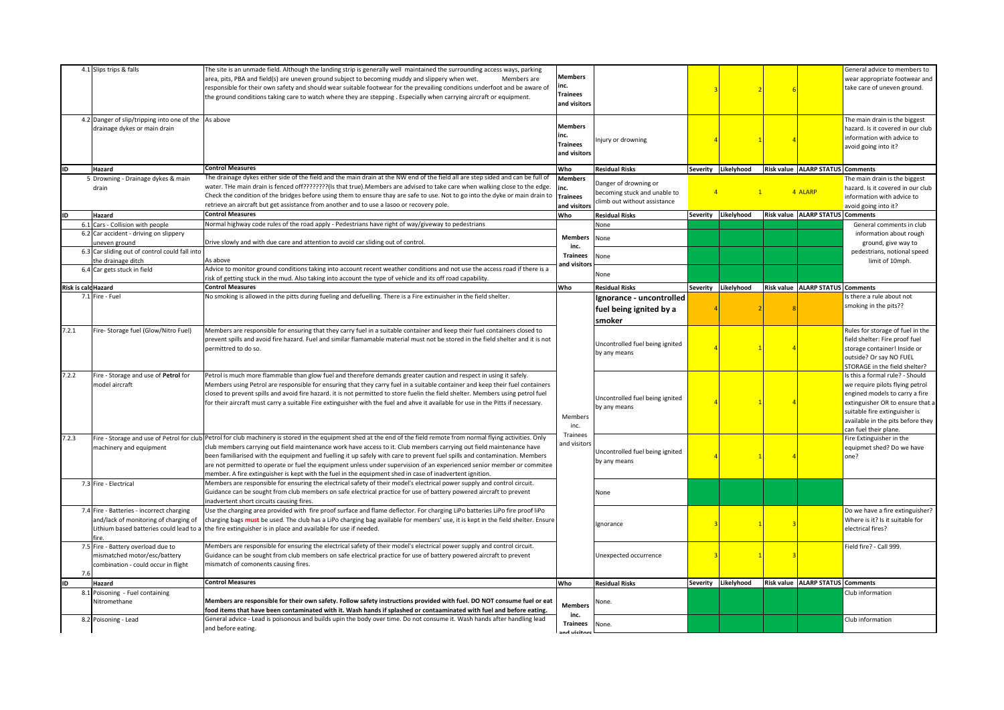|                            | 4.1 Slips trips & falls                                                                                                               | The site is an unmade field. Although the landing strip is generally well maintained the surrounding access ways, parking<br>area, pits, PBA and field(s) are uneven ground subject to becoming muddy and slippery when wet.<br>Members are<br>responsible for their own safety and should wear suitable footwear for the prevailing conditions underfoot and be aware of<br>the ground conditions taking care to watch where they are stepping. Especially when carrying aircraft or equipment.                                                                                                                          | <b>Members</b><br>inc.<br><b>Trainees</b><br>and visitors |                                                                                       |                |                     |                                  | General advice to members to<br>wear appropriate footwear and<br>take care of uneven ground.                                                                                                                                         |
|----------------------------|---------------------------------------------------------------------------------------------------------------------------------------|---------------------------------------------------------------------------------------------------------------------------------------------------------------------------------------------------------------------------------------------------------------------------------------------------------------------------------------------------------------------------------------------------------------------------------------------------------------------------------------------------------------------------------------------------------------------------------------------------------------------------|-----------------------------------------------------------|---------------------------------------------------------------------------------------|----------------|---------------------|----------------------------------|--------------------------------------------------------------------------------------------------------------------------------------------------------------------------------------------------------------------------------------|
|                            | 4.2 Danger of slip/tripping into one of the<br>drainage dykes or main drain                                                           | As above                                                                                                                                                                                                                                                                                                                                                                                                                                                                                                                                                                                                                  | <b>Members</b><br>inc.<br><b>Trainees</b><br>and visitors | Injury or drowning                                                                    |                |                     |                                  | The main drain is the biggest<br>hazard. Is it covered in our club<br>information with advice to<br>avoid going into it?                                                                                                             |
|                            | Hazard                                                                                                                                | <b>Control Measures</b>                                                                                                                                                                                                                                                                                                                                                                                                                                                                                                                                                                                                   | Who                                                       | <b>Residual Risks</b>                                                                 | Severity       | Likelyhood          | Risk value ALARP STATUS Comments |                                                                                                                                                                                                                                      |
|                            | 5 Drowning - Drainage dykes & main<br>drain                                                                                           | The drainage dykes either side of the field and the main drain at the NW end of the field all are step sided and can be full of<br>water. The main drain is fenced off????????(Is that true). Members are advised to take care when walking close to the edge.<br>Check the condition of the bridges before using them to ensure thay are safe to use. Not to go into the dyke or main drain to<br>retrieve an aircraft but get assistance from another and to use a lasoo or recovery pole.                                                                                                                              | <b>Members</b><br>inc.<br><b>Trainees</b><br>and visitors | Danger of drowning or<br>becoming stuck and unable to<br>climb out without assistance | $\overline{4}$ | $\overline{1}$      | 4 ALARP                          | The main drain is the biggest<br>hazard. Is it covered in our club<br>information with advice to<br>avoid going into it?                                                                                                             |
|                            | Hazard                                                                                                                                | <b>Control Measures</b>                                                                                                                                                                                                                                                                                                                                                                                                                                                                                                                                                                                                   | Who                                                       | <b>Residual Risks</b>                                                                 | Severity       | Likelyhood          | Risk value ALARP STATUS Comments |                                                                                                                                                                                                                                      |
|                            | 6.1 Cars - Collision with people                                                                                                      | Normal highway code rules of the road apply - Pedestrians have right of way/giveway to pedestrians                                                                                                                                                                                                                                                                                                                                                                                                                                                                                                                        |                                                           | None                                                                                  |                |                     |                                  | General comments in club                                                                                                                                                                                                             |
|                            | 6.2 Car accident - driving on slippery<br>uneven ground                                                                               | Drive slowly and with due care and attention to avoid car sliding out of control.                                                                                                                                                                                                                                                                                                                                                                                                                                                                                                                                         | <b>Members</b>                                            | None                                                                                  |                |                     |                                  | information about rough<br>ground, give way to                                                                                                                                                                                       |
|                            | 6.3 Car sliding out of control could fall into                                                                                        |                                                                                                                                                                                                                                                                                                                                                                                                                                                                                                                                                                                                                           | inc.                                                      |                                                                                       |                |                     |                                  | pedestrians, notional speed                                                                                                                                                                                                          |
|                            | the drainage ditch                                                                                                                    | As above                                                                                                                                                                                                                                                                                                                                                                                                                                                                                                                                                                                                                  | <b>Trainees</b>                                           | None                                                                                  |                |                     |                                  | limit of 10mph.                                                                                                                                                                                                                      |
|                            | 6.4 Car gets stuck in field                                                                                                           | Advice to monitor ground conditions taking into account recent weather conditions and not use the access road if there is a                                                                                                                                                                                                                                                                                                                                                                                                                                                                                               | and visitors                                              | None                                                                                  |                |                     |                                  |                                                                                                                                                                                                                                      |
|                            |                                                                                                                                       | risk of getting stuck in the mud. Also taking into account the type of vehicle and its off road capability.                                                                                                                                                                                                                                                                                                                                                                                                                                                                                                               |                                                           |                                                                                       |                |                     |                                  |                                                                                                                                                                                                                                      |
| <b>Risk is calc Hazard</b> | 7.1 Fire - Fuel                                                                                                                       | <b>Control Measures</b>                                                                                                                                                                                                                                                                                                                                                                                                                                                                                                                                                                                                   | Who                                                       | <b>Residual Risks</b>                                                                 |                | Severity Likelyhood | Risk value ALARP STATUS Comments |                                                                                                                                                                                                                                      |
|                            |                                                                                                                                       | No smoking is allowed in the pitts during fueling and defuelling. There is a Fire extinuisher in the field shelter.                                                                                                                                                                                                                                                                                                                                                                                                                                                                                                       |                                                           | Ignorance - uncontrolled<br>fuel being ignited by a<br>smoker                         |                |                     |                                  | s there a rule about not<br>smoking in the pits??                                                                                                                                                                                    |
| 7.2.1                      | Fire- Storage fuel (Glow/Nitro Fuel)                                                                                                  | Members are responsible for ensuring that they carry fuel in a suitable container and keep their fuel containers closed to<br>prevent spills and avoid fire hazard. Fuel and similar flamamable material must not be stored in the field shelter and it is not<br>permittred to do so.                                                                                                                                                                                                                                                                                                                                    |                                                           | Uncontrolled fuel being ignited<br>by any means                                       |                |                     |                                  | Rules for storage of fuel in the<br>field shelter: Fire proof fuel<br>storage container! Inside or<br>outside? Or say NO FUEL<br>STORAGE in the field shelter?                                                                       |
| 7.2.2                      | Fire - Storage and use of Petrol for<br>model aircraft                                                                                | Petrol is much more flammable than glow fuel and therefore demands greater caution and respect in using it safely.<br>Members using Petrol are responsible for ensuring that they carry fuel in a suitable container and keep their fuel containers<br>closed to prevent spills and avoid fire hazard. it is not permitted to store fuelin the field shelter. Members using petrol fuel<br>for their aircraft must carry a suitable Fire extinguisher with the fuel and ahve it available for use in the Pitts if necessary.                                                                                              | Members<br>inc.                                           | Uncontrolled fuel being ignited<br>by any means                                       |                |                     |                                  | s this a formal rule? - Should<br>we require pilots flying petrol<br>engined models to carry a fire<br>extinguisher OR to ensure that a<br>suitable fire extinguisher is<br>available in the pits before they<br>an fuel their plane |
| 7.2.3                      | Fire - Storage and use of Petrol for club<br>machinery and equipment                                                                  | Petrol for club machinery is stored in the equipment shed at the end of the field remote from normal flying activities. Only<br>club members carrying out field maintenance work have access to it. Club members carrying out field maintenance have<br>been familiarised with the equipment and fuelling it up safely with care to prevent fuel spills and contamination. Members<br>are not permitted to operate or fuel the equipment unless under supervision of an experienced senior member or commitee<br>member. A fire extinguisher is kept with the fuel in the equipment shed in case of inadvertent ignition. | Trainees<br>and visitors                                  | Uncontrolled fuel being ignited<br>by any means                                       |                |                     |                                  | Fire Extinguisher in the<br>equipmet shed? Do we have<br>one?                                                                                                                                                                        |
|                            | 7.3 Fire - Electrical                                                                                                                 | Members are responsible for ensuring the electrical safety of their model's electrical power supply and control circuit.<br>Guidance can be sought from club members on safe electrical practice for use of battery powered aircraft to prevent<br>inadvertent short circuits causing fires.                                                                                                                                                                                                                                                                                                                              |                                                           | None                                                                                  |                |                     |                                  |                                                                                                                                                                                                                                      |
|                            | 7.4 Fire - Batteries - incorrect charging<br>and/lack of monitoring of charging of<br>Lithium based batteries could lead to a<br>fire | Use the charging area provided with fire proof surface and flame deflector. For charging LiPo batteries LiPo fire proof liPo<br>charging bags must be used. The club has a LiPo charging bag available for members' use, it is kept in the field shelter. Ensure<br>the fire extinguisher is in place and available for use if needed.                                                                                                                                                                                                                                                                                    |                                                           | Ignorance                                                                             |                |                     |                                  | Do we have a fire extinguisher?<br>Where is it? Is it suitable for<br>electrical fires?                                                                                                                                              |
| 7.6                        | 7.5 Fire - Battery overload due to<br>mismatched motor/esc/battery<br>combination - could occur in flight                             | Members are responsible for ensuring the electrical safety of their model's electrical power supply and control circuit.<br>Guidance can be sought from club members on safe electrical practice for use of battery powered aircraft to prevent<br>mismatch of comonents causing fires.                                                                                                                                                                                                                                                                                                                                   |                                                           | Unexpected occurrence                                                                 |                |                     |                                  | Field fire? - Call 999                                                                                                                                                                                                               |
| ID                         | Hazard                                                                                                                                | <b>Control Measures</b>                                                                                                                                                                                                                                                                                                                                                                                                                                                                                                                                                                                                   | Who                                                       | <b>Residual Risks</b>                                                                 |                | Severity Likelyhood | Risk value ALARP STATUS Comments |                                                                                                                                                                                                                                      |
|                            | 8.1 Poisoning - Fuel containing<br>Nitromethane                                                                                       | Members are responsible for their own safety. Follow safety instructions provided with fuel. DO NOT consume fuel or eat<br>food items that have been contaminated with it. Wash hands if splashed or contaaminated with fuel and before eating.                                                                                                                                                                                                                                                                                                                                                                           | <b>Members</b><br>inc.                                    | None.                                                                                 |                |                     |                                  | Club information                                                                                                                                                                                                                     |
|                            | 8.2 Poisoning - Lead                                                                                                                  | General advice - Lead is poisonous and builds upin the body over time. Do not consume it. Wash hands after handling lead<br>and before eating.                                                                                                                                                                                                                                                                                                                                                                                                                                                                            | <b>Trainees</b><br>and visito                             | None.                                                                                 |                |                     |                                  | Club information                                                                                                                                                                                                                     |